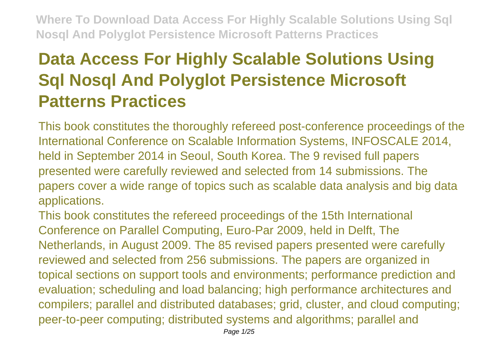# **Data Access For Highly Scalable Solutions Using Sql Nosql And Polyglot Persistence Microsoft Patterns Practices**

This book constitutes the thoroughly refereed post-conference proceedings of the International Conference on Scalable Information Systems, INFOSCALE 2014, held in September 2014 in Seoul, South Korea. The 9 revised full papers presented were carefully reviewed and selected from 14 submissions. The papers cover a wide range of topics such as scalable data analysis and big data applications.

This book constitutes the refereed proceedings of the 15th International Conference on Parallel Computing, Euro-Par 2009, held in Delft, The Netherlands, in August 2009. The 85 revised papers presented were carefully reviewed and selected from 256 submissions. The papers are organized in topical sections on support tools and environments; performance prediction and evaluation; scheduling and load balancing; high performance architectures and compilers; parallel and distributed databases; grid, cluster, and cloud computing; peer-to-peer computing; distributed systems and algorithms; parallel and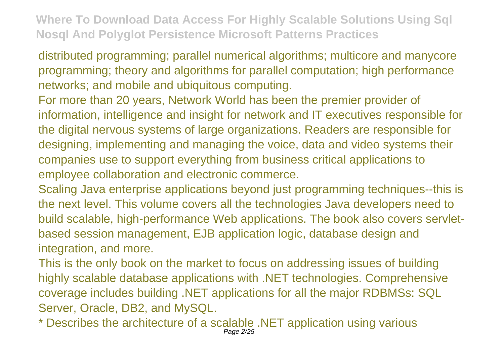distributed programming; parallel numerical algorithms; multicore and manycore programming; theory and algorithms for parallel computation; high performance networks; and mobile and ubiquitous computing.

For more than 20 years, Network World has been the premier provider of information, intelligence and insight for network and IT executives responsible for the digital nervous systems of large organizations. Readers are responsible for designing, implementing and managing the voice, data and video systems their companies use to support everything from business critical applications to employee collaboration and electronic commerce.

Scaling Java enterprise applications beyond just programming techniques--this is the next level. This volume covers all the technologies Java developers need to build scalable, high-performance Web applications. The book also covers servletbased session management, EJB application logic, database design and integration, and more.

This is the only book on the market to focus on addressing issues of building highly scalable database applications with .NET technologies. Comprehensive coverage includes building .NET applications for all the major RDBMSs: SQL Server, Oracle, DB2, and MySQL.

\* Describes the architecture of a scalable .NET application using various Page 2/25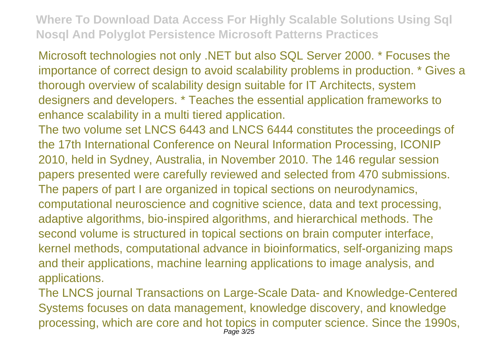Microsoft technologies not only .NET but also SQL Server 2000. \* Focuses the importance of correct design to avoid scalability problems in production. \* Gives a thorough overview of scalability design suitable for IT Architects, system designers and developers. \* Teaches the essential application frameworks to enhance scalability in a multi tiered application.

The two volume set LNCS 6443 and LNCS 6444 constitutes the proceedings of the 17th International Conference on Neural Information Processing, ICONIP 2010, held in Sydney, Australia, in November 2010. The 146 regular session papers presented were carefully reviewed and selected from 470 submissions. The papers of part I are organized in topical sections on neurodynamics, computational neuroscience and cognitive science, data and text processing, adaptive algorithms, bio-inspired algorithms, and hierarchical methods. The second volume is structured in topical sections on brain computer interface, kernel methods, computational advance in bioinformatics, self-organizing maps and their applications, machine learning applications to image analysis, and applications.

The LNCS journal Transactions on Large-Scale Data- and Knowledge-Centered Systems focuses on data management, knowledge discovery, and knowledge processing, which are core and hot topics in computer science. Since the 1990s, Page 3/25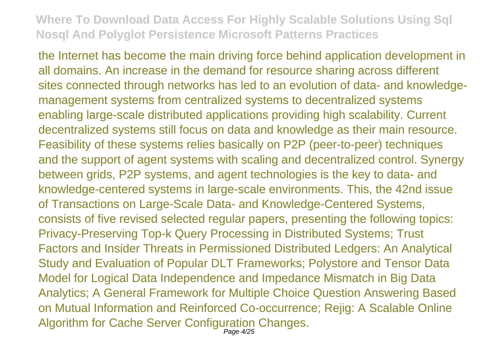the Internet has become the main driving force behind application development in all domains. An increase in the demand for resource sharing across different sites connected through networks has led to an evolution of data- and knowledgemanagement systems from centralized systems to decentralized systems enabling large-scale distributed applications providing high scalability. Current decentralized systems still focus on data and knowledge as their main resource. Feasibility of these systems relies basically on P2P (peer-to-peer) techniques and the support of agent systems with scaling and decentralized control. Synergy between grids, P2P systems, and agent technologies is the key to data- and knowledge-centered systems in large-scale environments. This, the 42nd issue of Transactions on Large-Scale Data- and Knowledge-Centered Systems, consists of five revised selected regular papers, presenting the following topics: Privacy-Preserving Top-k Query Processing in Distributed Systems; Trust Factors and Insider Threats in Permissioned Distributed Ledgers: An Analytical Study and Evaluation of Popular DLT Frameworks; Polystore and Tensor Data Model for Logical Data Independence and Impedance Mismatch in Big Data Analytics; A General Framework for Multiple Choice Question Answering Based on Mutual Information and Reinforced Co-occurrence; Rejig: A Scalable Online Algorithm for Cache Server Configuration Changes.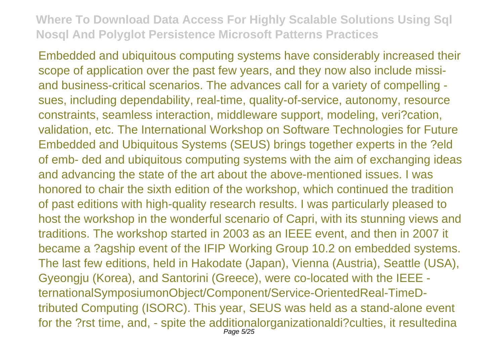Embedded and ubiquitous computing systems have considerably increased their scope of application over the past few years, and they now also include missiand business-critical scenarios. The advances call for a variety of compelling sues, including dependability, real-time, quality-of-service, autonomy, resource constraints, seamless interaction, middleware support, modeling, veri?cation, validation, etc. The International Workshop on Software Technologies for Future Embedded and Ubiquitous Systems (SEUS) brings together experts in the ?eld of emb- ded and ubiquitous computing systems with the aim of exchanging ideas and advancing the state of the art about the above-mentioned issues. I was honored to chair the sixth edition of the workshop, which continued the tradition of past editions with high-quality research results. I was particularly pleased to host the workshop in the wonderful scenario of Capri, with its stunning views and traditions. The workshop started in 2003 as an IEEE event, and then in 2007 it became a ?agship event of the IFIP Working Group 10.2 on embedded systems. The last few editions, held in Hakodate (Japan), Vienna (Austria), Seattle (USA), Gyeongju (Korea), and Santorini (Greece), were co-located with the IEEE ternationalSymposiumonObject/Component/Service-OrientedReal-TimeDtributed Computing (ISORC). This year, SEUS was held as a stand-alone event for the ?rst time, and, - spite the additionalorganizationaldi?culties, it resultedina Page 5/25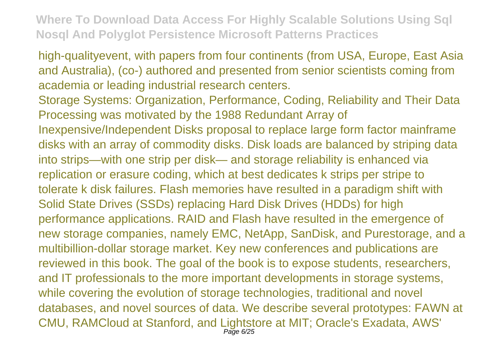high-qualityevent, with papers from four continents (from USA, Europe, East Asia and Australia), (co-) authored and presented from senior scientists coming from academia or leading industrial research centers.

Storage Systems: Organization, Performance, Coding, Reliability and Their Data Processing was motivated by the 1988 Redundant Array of

Inexpensive/Independent Disks proposal to replace large form factor mainframe disks with an array of commodity disks. Disk loads are balanced by striping data into strips—with one strip per disk— and storage reliability is enhanced via replication or erasure coding, which at best dedicates k strips per stripe to tolerate k disk failures. Flash memories have resulted in a paradigm shift with Solid State Drives (SSDs) replacing Hard Disk Drives (HDDs) for high performance applications. RAID and Flash have resulted in the emergence of new storage companies, namely EMC, NetApp, SanDisk, and Purestorage, and a multibillion-dollar storage market. Key new conferences and publications are reviewed in this book. The goal of the book is to expose students, researchers, and IT professionals to the more important developments in storage systems, while covering the evolution of storage technologies, traditional and novel databases, and novel sources of data. We describe several prototypes: FAWN at CMU, RAMCloud at Stanford, and Lightstore at MIT; Oracle's Exadata, AWS' Page 6/25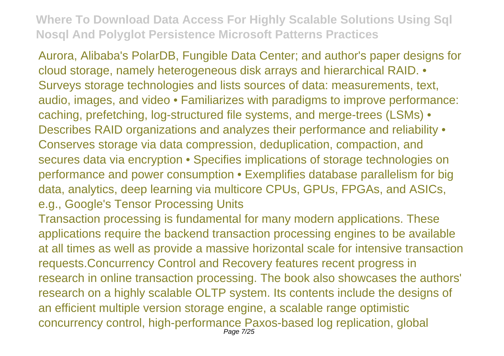Aurora, Alibaba's PolarDB, Fungible Data Center; and author's paper designs for cloud storage, namely heterogeneous disk arrays and hierarchical RAID. • Surveys storage technologies and lists sources of data: measurements, text, audio, images, and video • Familiarizes with paradigms to improve performance: caching, prefetching, log-structured file systems, and merge-trees (LSMs) • Describes RAID organizations and analyzes their performance and reliability • Conserves storage via data compression, deduplication, compaction, and secures data via encryption • Specifies implications of storage technologies on performance and power consumption • Exemplifies database parallelism for big data, analytics, deep learning via multicore CPUs, GPUs, FPGAs, and ASICs, e.g., Google's Tensor Processing Units

Transaction processing is fundamental for many modern applications. These applications require the backend transaction processing engines to be available at all times as well as provide a massive horizontal scale for intensive transaction requests.Concurrency Control and Recovery features recent progress in research in online transaction processing. The book also showcases the authors' research on a highly scalable OLTP system. Its contents include the designs of an efficient multiple version storage engine, a scalable range optimistic concurrency control, high-performance Paxos-based log replication, global Page 7/25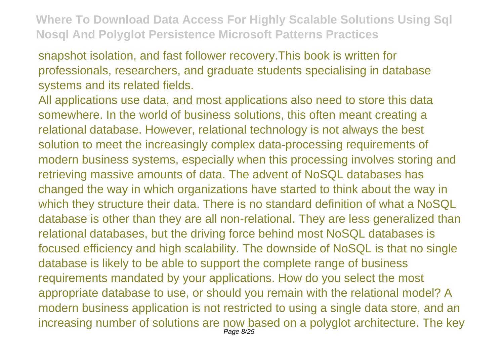snapshot isolation, and fast follower recovery.This book is written for professionals, researchers, and graduate students specialising in database systems and its related fields.

All applications use data, and most applications also need to store this data somewhere. In the world of business solutions, this often meant creating a relational database. However, relational technology is not always the best solution to meet the increasingly complex data-processing requirements of modern business systems, especially when this processing involves storing and retrieving massive amounts of data. The advent of NoSQL databases has changed the way in which organizations have started to think about the way in which they structure their data. There is no standard definition of what a NoSQL database is other than they are all non-relational. They are less generalized than relational databases, but the driving force behind most NoSQL databases is focused efficiency and high scalability. The downside of NoSQL is that no single database is likely to be able to support the complete range of business requirements mandated by your applications. How do you select the most appropriate database to use, or should you remain with the relational model? A modern business application is not restricted to using a single data store, and an increasing number of solutions are now based on a polyglot architecture. The key Page 8/25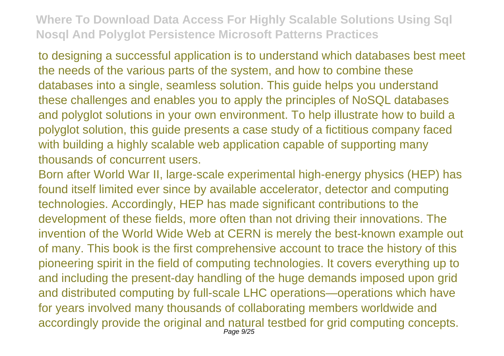to designing a successful application is to understand which databases best meet the needs of the various parts of the system, and how to combine these databases into a single, seamless solution. This guide helps you understand these challenges and enables you to apply the principles of NoSQL databases and polyglot solutions in your own environment. To help illustrate how to build a polyglot solution, this guide presents a case study of a fictitious company faced with building a highly scalable web application capable of supporting many thousands of concurrent users.

Born after World War II, large-scale experimental high-energy physics (HEP) has found itself limited ever since by available accelerator, detector and computing technologies. Accordingly, HEP has made significant contributions to the development of these fields, more often than not driving their innovations. The invention of the World Wide Web at CERN is merely the best-known example out of many. This book is the first comprehensive account to trace the history of this pioneering spirit in the field of computing technologies. It covers everything up to and including the present-day handling of the huge demands imposed upon grid and distributed computing by full-scale LHC operations—operations which have for years involved many thousands of collaborating members worldwide and accordingly provide the original and natural testbed for grid computing concepts. Page  $9/25$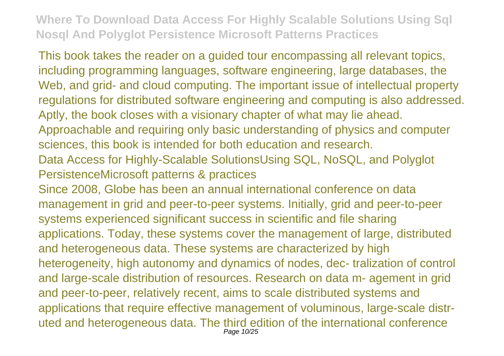This book takes the reader on a guided tour encompassing all relevant topics, including programming languages, software engineering, large databases, the Web, and grid- and cloud computing. The important issue of intellectual property regulations for distributed software engineering and computing is also addressed. Aptly, the book closes with a visionary chapter of what may lie ahead.

Approachable and requiring only basic understanding of physics and computer sciences, this book is intended for both education and research.

Data Access for Highly-Scalable SolutionsUsing SQL, NoSQL, and Polyglot PersistenceMicrosoft patterns & practices

Since 2008, Globe has been an annual international conference on data management in grid and peer-to-peer systems. Initially, grid and peer-to-peer systems experienced significant success in scientific and file sharing applications. Today, these systems cover the management of large, distributed and heterogeneous data. These systems are characterized by high heterogeneity, high autonomy and dynamics of nodes, dec- tralization of control and large-scale distribution of resources. Research on data m- agement in grid and peer-to-peer, relatively recent, aims to scale distributed systems and applications that require effective management of voluminous, large-scale distruted and heterogeneous data. The third edition of the international conference Page 10/25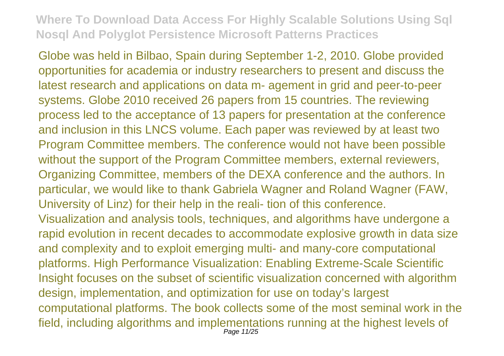Globe was held in Bilbao, Spain during September 1-2, 2010. Globe provided opportunities for academia or industry researchers to present and discuss the latest research and applications on data m- agement in grid and peer-to-peer systems. Globe 2010 received 26 papers from 15 countries. The reviewing process led to the acceptance of 13 papers for presentation at the conference and inclusion in this LNCS volume. Each paper was reviewed by at least two Program Committee members. The conference would not have been possible without the support of the Program Committee members, external reviewers, Organizing Committee, members of the DEXA conference and the authors. In particular, we would like to thank Gabriela Wagner and Roland Wagner (FAW, University of Linz) for their help in the reali- tion of this conference. Visualization and analysis tools, techniques, and algorithms have undergone a rapid evolution in recent decades to accommodate explosive growth in data size and complexity and to exploit emerging multi- and many-core computational platforms. High Performance Visualization: Enabling Extreme-Scale Scientific Insight focuses on the subset of scientific visualization concerned with algorithm design, implementation, and optimization for use on today's largest computational platforms. The book collects some of the most seminal work in the field, including algorithms and implementations running at the highest levels of Page 11/25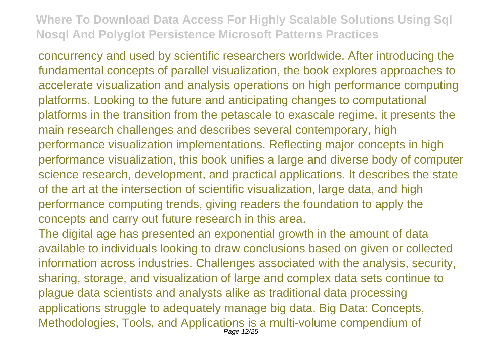concurrency and used by scientific researchers worldwide. After introducing the fundamental concepts of parallel visualization, the book explores approaches to accelerate visualization and analysis operations on high performance computing platforms. Looking to the future and anticipating changes to computational platforms in the transition from the petascale to exascale regime, it presents the main research challenges and describes several contemporary, high performance visualization implementations. Reflecting major concepts in high performance visualization, this book unifies a large and diverse body of computer science research, development, and practical applications. It describes the state of the art at the intersection of scientific visualization, large data, and high performance computing trends, giving readers the foundation to apply the concepts and carry out future research in this area.

The digital age has presented an exponential growth in the amount of data available to individuals looking to draw conclusions based on given or collected information across industries. Challenges associated with the analysis, security, sharing, storage, and visualization of large and complex data sets continue to plague data scientists and analysts alike as traditional data processing applications struggle to adequately manage big data. Big Data: Concepts, Methodologies, Tools, and Applications is a multi-volume compendium of Page 12/25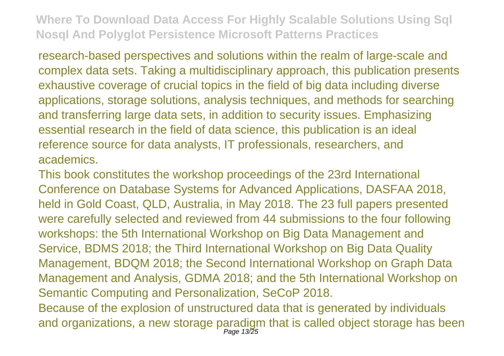research-based perspectives and solutions within the realm of large-scale and complex data sets. Taking a multidisciplinary approach, this publication presents exhaustive coverage of crucial topics in the field of big data including diverse applications, storage solutions, analysis techniques, and methods for searching and transferring large data sets, in addition to security issues. Emphasizing essential research in the field of data science, this publication is an ideal reference source for data analysts, IT professionals, researchers, and academics.

This book constitutes the workshop proceedings of the 23rd International Conference on Database Systems for Advanced Applications, DASFAA 2018, held in Gold Coast, QLD, Australia, in May 2018. The 23 full papers presented were carefully selected and reviewed from 44 submissions to the four following workshops: the 5th International Workshop on Big Data Management and Service, BDMS 2018; the Third International Workshop on Big Data Quality Management, BDQM 2018; the Second International Workshop on Graph Data Management and Analysis, GDMA 2018; and the 5th International Workshop on Semantic Computing and Personalization, SeCoP 2018. Because of the explosion of unstructured data that is generated by individuals and organizations, a new storage paradigm that is called object storage has been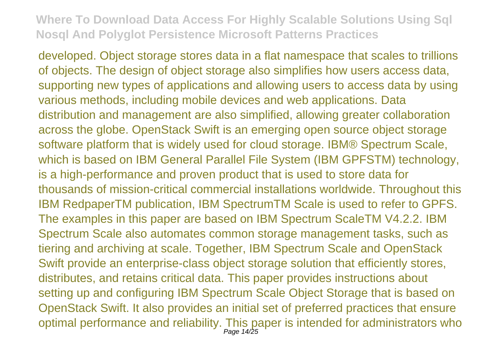developed. Object storage stores data in a flat namespace that scales to trillions of objects. The design of object storage also simplifies how users access data, supporting new types of applications and allowing users to access data by using various methods, including mobile devices and web applications. Data distribution and management are also simplified, allowing greater collaboration across the globe. OpenStack Swift is an emerging open source object storage software platform that is widely used for cloud storage. IBM® Spectrum Scale, which is based on IBM General Parallel File System (IBM GPFSTM) technology, is a high-performance and proven product that is used to store data for thousands of mission-critical commercial installations worldwide. Throughout this IBM RedpaperTM publication, IBM SpectrumTM Scale is used to refer to GPFS. The examples in this paper are based on IBM Spectrum ScaleTM V4.2.2. IBM Spectrum Scale also automates common storage management tasks, such as tiering and archiving at scale. Together, IBM Spectrum Scale and OpenStack Swift provide an enterprise-class object storage solution that efficiently stores, distributes, and retains critical data. This paper provides instructions about setting up and configuring IBM Spectrum Scale Object Storage that is based on OpenStack Swift. It also provides an initial set of preferred practices that ensure optimal performance and reliability. This paper is intended for administrators who Page 14/25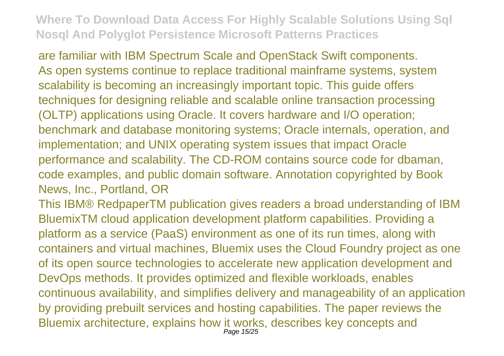are familiar with IBM Spectrum Scale and OpenStack Swift components. As open systems continue to replace traditional mainframe systems, system scalability is becoming an increasingly important topic. This guide offers techniques for designing reliable and scalable online transaction processing (OLTP) applications using Oracle. It covers hardware and I/O operation; benchmark and database monitoring systems; Oracle internals, operation, and implementation; and UNIX operating system issues that impact Oracle performance and scalability. The CD-ROM contains source code for dbaman, code examples, and public domain software. Annotation copyrighted by Book News, Inc., Portland, OR

This IBM® RedpaperTM publication gives readers a broad understanding of IBM BluemixTM cloud application development platform capabilities. Providing a platform as a service (PaaS) environment as one of its run times, along with containers and virtual machines, Bluemix uses the Cloud Foundry project as one of its open source technologies to accelerate new application development and DevOps methods. It provides optimized and flexible workloads, enables continuous availability, and simplifies delivery and manageability of an application by providing prebuilt services and hosting capabilities. The paper reviews the Bluemix architecture, explains how it works, describes key concepts and Page 15/25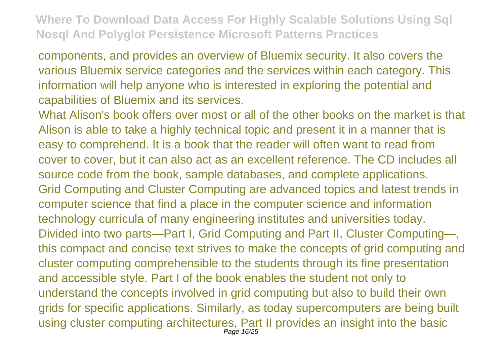components, and provides an overview of Bluemix security. It also covers the various Bluemix service categories and the services within each category. This information will help anyone who is interested in exploring the potential and capabilities of Bluemix and its services.

What Alison's book offers over most or all of the other books on the market is that Alison is able to take a highly technical topic and present it in a manner that is easy to comprehend. It is a book that the reader will often want to read from cover to cover, but it can also act as an excellent reference. The CD includes all source code from the book, sample databases, and complete applications. Grid Computing and Cluster Computing are advanced topics and latest trends in computer science that find a place in the computer science and information technology curricula of many engineering institutes and universities today. Divided into two parts—Part I, Grid Computing and Part II, Cluster Computing—, this compact and concise text strives to make the concepts of grid computing and cluster computing comprehensible to the students through its fine presentation and accessible style. Part I of the book enables the student not only to understand the concepts involved in grid computing but also to build their own grids for specific applications. Similarly, as today supercomputers are being built using cluster computing architectures, Part II provides an insight into the basic Page 16/25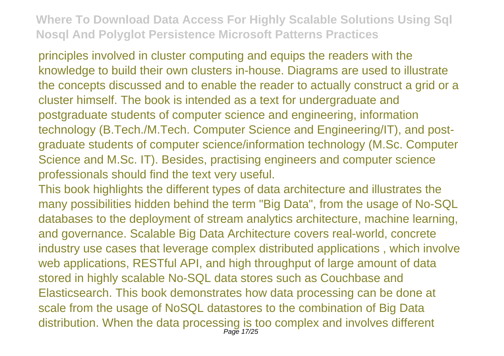principles involved in cluster computing and equips the readers with the knowledge to build their own clusters in-house. Diagrams are used to illustrate the concepts discussed and to enable the reader to actually construct a grid or a cluster himself. The book is intended as a text for undergraduate and postgraduate students of computer science and engineering, information technology (B.Tech./M.Tech. Computer Science and Engineering/IT), and postgraduate students of computer science/information technology (M.Sc. Computer Science and M.Sc. IT). Besides, practising engineers and computer science professionals should find the text very useful.

This book highlights the different types of data architecture and illustrates the many possibilities hidden behind the term "Big Data", from the usage of No-SQL databases to the deployment of stream analytics architecture, machine learning, and governance. Scalable Big Data Architecture covers real-world, concrete industry use cases that leverage complex distributed applications , which involve web applications, RESTful API, and high throughput of large amount of data stored in highly scalable No-SQL data stores such as Couchbase and Elasticsearch. This book demonstrates how data processing can be done at scale from the usage of NoSQL datastores to the combination of Big Data distribution. When the data processing is too complex and involves different Page 17/25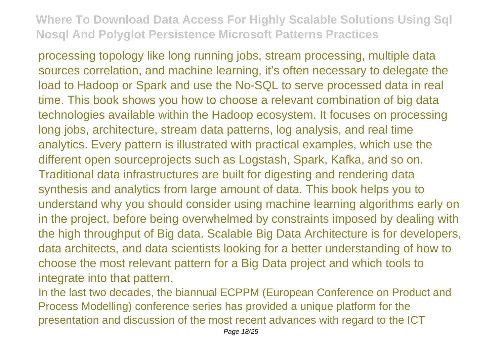processing topology like long running jobs, stream processing, multiple data sources correlation, and machine learning, it's often necessary to delegate the load to Hadoop or Spark and use the No-SQL to serve processed data in real time. This book shows you how to choose a relevant combination of big data technologies available within the Hadoop ecosystem. It focuses on processing long jobs, architecture, stream data patterns, log analysis, and real time analytics. Every pattern is illustrated with practical examples, which use the different open sourceprojects such as Logstash, Spark, Kafka, and so on. Traditional data infrastructures are built for digesting and rendering data synthesis and analytics from large amount of data. This book helps you to understand why you should consider using machine learning algorithms early on in the project, before being overwhelmed by constraints imposed by dealing with the high throughput of Big data. Scalable Big Data Architecture is for developers, data architects, and data scientists looking for a better understanding of how to choose the most relevant pattern for a Big Data project and which tools to integrate into that pattern.

In the last two decades, the biannual ECPPM (European Conference on Product and Process Modelling) conference series has provided a unique platform for the presentation and discussion of the most recent advances with regard to the ICT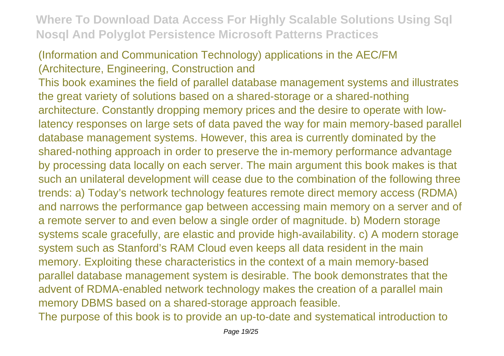#### (Information and Communication Technology) applications in the AEC/FM (Architecture, Engineering, Construction and

This book examines the field of parallel database management systems and illustrates the great variety of solutions based on a shared-storage or a shared-nothing architecture. Constantly dropping memory prices and the desire to operate with lowlatency responses on large sets of data paved the way for main memory-based parallel database management systems. However, this area is currently dominated by the shared-nothing approach in order to preserve the in-memory performance advantage by processing data locally on each server. The main argument this book makes is that such an unilateral development will cease due to the combination of the following three trends: a) Today's network technology features remote direct memory access (RDMA) and narrows the performance gap between accessing main memory on a server and of a remote server to and even below a single order of magnitude. b) Modern storage systems scale gracefully, are elastic and provide high-availability. c) A modern storage system such as Stanford's RAM Cloud even keeps all data resident in the main memory. Exploiting these characteristics in the context of a main memory-based parallel database management system is desirable. The book demonstrates that the advent of RDMA-enabled network technology makes the creation of a parallel main memory DBMS based on a shared-storage approach feasible.

The purpose of this book is to provide an up-to-date and systematical introduction to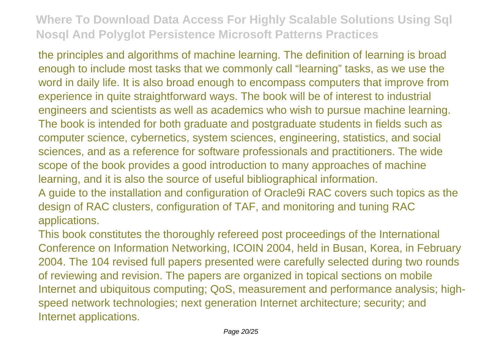the principles and algorithms of machine learning. The definition of learning is broad enough to include most tasks that we commonly call "learning" tasks, as we use the word in daily life. It is also broad enough to encompass computers that improve from experience in quite straightforward ways. The book will be of interest to industrial engineers and scientists as well as academics who wish to pursue machine learning. The book is intended for both graduate and postgraduate students in fields such as computer science, cybernetics, system sciences, engineering, statistics, and social sciences, and as a reference for software professionals and practitioners. The wide scope of the book provides a good introduction to many approaches of machine learning, and it is also the source of useful bibliographical information. A guide to the installation and configuration of Oracle9i RAC covers such topics as the design of RAC clusters, configuration of TAF, and monitoring and tuning RAC

applications.

This book constitutes the thoroughly refereed post proceedings of the International Conference on Information Networking, ICOIN 2004, held in Busan, Korea, in February 2004. The 104 revised full papers presented were carefully selected during two rounds of reviewing and revision. The papers are organized in topical sections on mobile Internet and ubiquitous computing; QoS, measurement and performance analysis; highspeed network technologies; next generation Internet architecture; security; and Internet applications.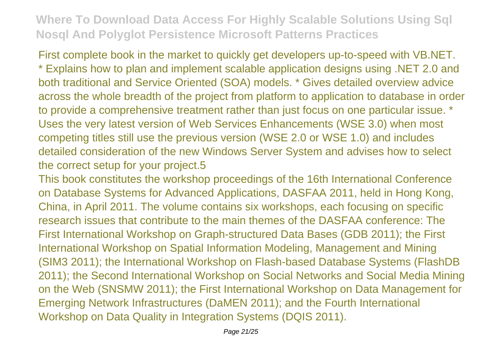First complete book in the market to quickly get developers up-to-speed with VB.NET. \* Explains how to plan and implement scalable application designs using .NET 2.0 and both traditional and Service Oriented (SOA) models. \* Gives detailed overview advice across the whole breadth of the project from platform to application to database in order to provide a comprehensive treatment rather than just focus on one particular issue. \* Uses the very latest version of Web Services Enhancements (WSE 3.0) when most competing titles still use the previous version (WSE 2.0 or WSE 1.0) and includes detailed consideration of the new Windows Server System and advises how to select the correct setup for your project.5

This book constitutes the workshop proceedings of the 16th International Conference on Database Systems for Advanced Applications, DASFAA 2011, held in Hong Kong, China, in April 2011. The volume contains six workshops, each focusing on specific research issues that contribute to the main themes of the DASFAA conference: The First International Workshop on Graph-structured Data Bases (GDB 2011); the First International Workshop on Spatial Information Modeling, Management and Mining (SIM3 2011); the International Workshop on Flash-based Database Systems (FlashDB 2011); the Second International Workshop on Social Networks and Social Media Mining on the Web (SNSMW 2011); the First International Workshop on Data Management for Emerging Network Infrastructures (DaMEN 2011); and the Fourth International Workshop on Data Quality in Integration Systems (DQIS 2011).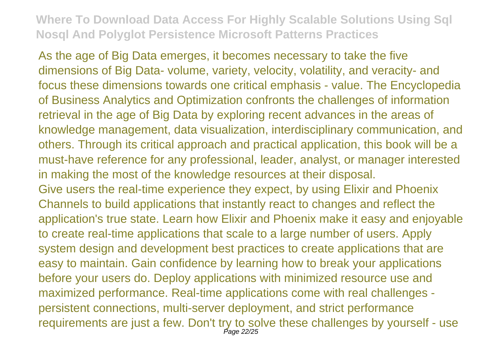As the age of Big Data emerges, it becomes necessary to take the five dimensions of Big Data- volume, variety, velocity, volatility, and veracity- and focus these dimensions towards one critical emphasis - value. The Encyclopedia of Business Analytics and Optimization confronts the challenges of information retrieval in the age of Big Data by exploring recent advances in the areas of knowledge management, data visualization, interdisciplinary communication, and others. Through its critical approach and practical application, this book will be a must-have reference for any professional, leader, analyst, or manager interested in making the most of the knowledge resources at their disposal. Give users the real-time experience they expect, by using Elixir and Phoenix Channels to build applications that instantly react to changes and reflect the application's true state. Learn how Elixir and Phoenix make it easy and enjoyable to create real-time applications that scale to a large number of users. Apply system design and development best practices to create applications that are easy to maintain. Gain confidence by learning how to break your applications before your users do. Deploy applications with minimized resource use and maximized performance. Real-time applications come with real challenges persistent connections, multi-server deployment, and strict performance

requirements are just a few. Don't try to solve these challenges by yourself - use Page 22/25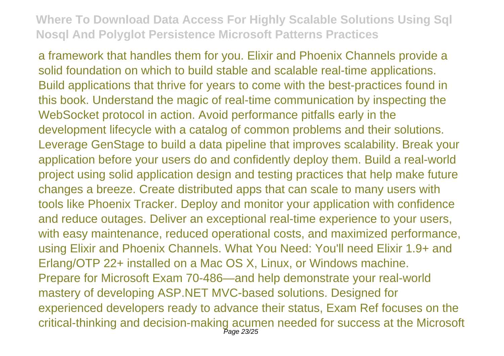a framework that handles them for you. Elixir and Phoenix Channels provide a solid foundation on which to build stable and scalable real-time applications. Build applications that thrive for years to come with the best-practices found in this book. Understand the magic of real-time communication by inspecting the WebSocket protocol in action. Avoid performance pitfalls early in the development lifecycle with a catalog of common problems and their solutions. Leverage GenStage to build a data pipeline that improves scalability. Break your application before your users do and confidently deploy them. Build a real-world project using solid application design and testing practices that help make future changes a breeze. Create distributed apps that can scale to many users with tools like Phoenix Tracker. Deploy and monitor your application with confidence and reduce outages. Deliver an exceptional real-time experience to your users, with easy maintenance, reduced operational costs, and maximized performance, using Elixir and Phoenix Channels. What You Need: You'll need Elixir 1.9+ and Erlang/OTP 22+ installed on a Mac OS X, Linux, or Windows machine. Prepare for Microsoft Exam 70-486—and help demonstrate your real-world mastery of developing ASP.NET MVC-based solutions. Designed for experienced developers ready to advance their status, Exam Ref focuses on the critical-thinking and decision-making acumen needed for success at the Microsoft Page 23/25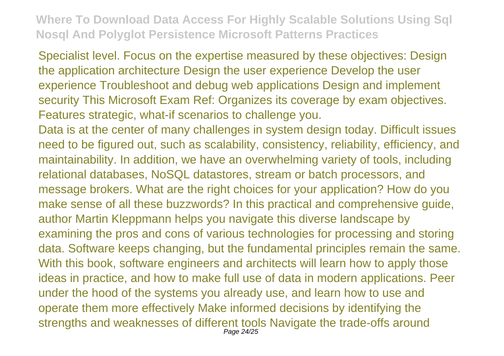Specialist level. Focus on the expertise measured by these objectives: Design the application architecture Design the user experience Develop the user experience Troubleshoot and debug web applications Design and implement security This Microsoft Exam Ref: Organizes its coverage by exam objectives. Features strategic, what-if scenarios to challenge you.

Data is at the center of many challenges in system design today. Difficult issues need to be figured out, such as scalability, consistency, reliability, efficiency, and maintainability. In addition, we have an overwhelming variety of tools, including relational databases, NoSQL datastores, stream or batch processors, and message brokers. What are the right choices for your application? How do you make sense of all these buzzwords? In this practical and comprehensive guide, author Martin Kleppmann helps you navigate this diverse landscape by examining the pros and cons of various technologies for processing and storing data. Software keeps changing, but the fundamental principles remain the same. With this book, software engineers and architects will learn how to apply those ideas in practice, and how to make full use of data in modern applications. Peer under the hood of the systems you already use, and learn how to use and operate them more effectively Make informed decisions by identifying the strengths and weaknesses of different tools Navigate the trade-offs around Page 24/25